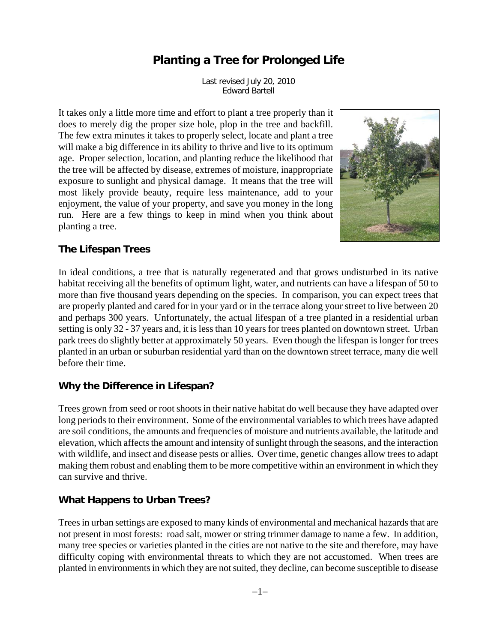# **Planting a Tree for Prolonged Life**

Last revised July 20, 2010 Edward Bartell

It takes only a little more time and effort to plant a tree properly than it does to merely dig the proper size hole, plop in the tree and backfill. The few extra minutes it takes to properly select, locate and plant a tree will make a big difference in its ability to thrive and live to its optimum age. Proper selection, location, and planting reduce the likelihood that the tree will be affected by disease, extremes of moisture, inappropriate exposure to sunlight and physical damage. It means that the tree will most likely provide beauty, require less maintenance, add to your enjoyment, the value of your property, and save you money in the long run. Here are a few things to keep in mind when you think about planting a tree.



#### **The Lifespan Trees**

In ideal conditions, a tree that is naturally regenerated and that grows undisturbed in its native habitat receiving all the benefits of optimum light, water, and nutrients can have a lifespan of 50 to more than five thousand years depending on the species. In comparison, you can expect trees that are properly planted and cared for in your yard or in the terrace along your street to live between 20 and perhaps 300 years. Unfortunately, the actual lifespan of a tree planted in a residential urban setting is only 32 - 37 years and, it is less than 10 years for trees planted on downtown street. Urban park trees do slightly better at approximately 50 years. Even though the lifespan is longer for trees planted in an urban or suburban residential yard than on the downtown street terrace, many die well before their time.

#### **Why the Difference in Lifespan?**

Trees grown from seed or root shoots in their native habitat do well because they have adapted over long periods to their environment. Some of the environmental variables to which trees have adapted are soil conditions, the amounts and frequencies of moisture and nutrients available, the latitude and elevation, which affects the amount and intensity of sunlight through the seasons, and the interaction with wildlife, and insect and disease pests or allies. Over time, genetic changes allow trees to adapt making them robust and enabling them to be more competitive within an environment in which they can survive and thrive.

#### **What Happens to Urban Trees?**

Trees in urban settings are exposed to many kinds of environmental and mechanical hazards that are not present in most forests: road salt, mower or string trimmer damage to name a few. In addition, many tree species or varieties planted in the cities are not native to the site and therefore, may have difficulty coping with environmental threats to which they are not accustomed. When trees are planted in environments in which they are not suited, they decline, can become susceptible to disease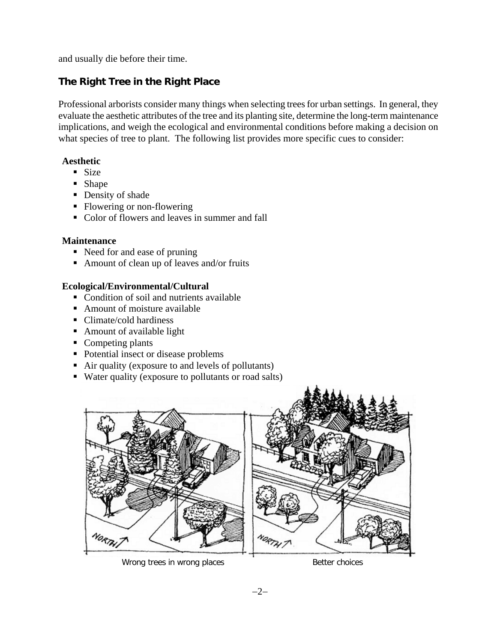and usually die before their time.

## **The Right Tree in the Right Place**

Professional arborists consider many things when selecting trees for urban settings. In general, they evaluate the aesthetic attributes of the tree and its planting site, determine the long-term maintenance implications, and weigh the ecological and environmental conditions before making a decision on what species of tree to plant. The following list provides more specific cues to consider:

#### **Aesthetic**

- $Size$
- **Shape**
- Density of shade
- Flowering or non-flowering
- Color of flowers and leaves in summer and fall

#### **Maintenance**

- Need for and ease of pruning
- Amount of clean up of leaves and/or fruits

#### **Ecological/Environmental/Cultural**

- Condition of soil and nutrients available
- Amount of moisture available
- Climate/cold hardiness
- Amount of available light
- Competing plants
- Potential insect or disease problems
- Air quality (exposure to and levels of pollutants)
- Water quality (exposure to pollutants or road salts)



Wrong trees in wrong places and the section of Better choices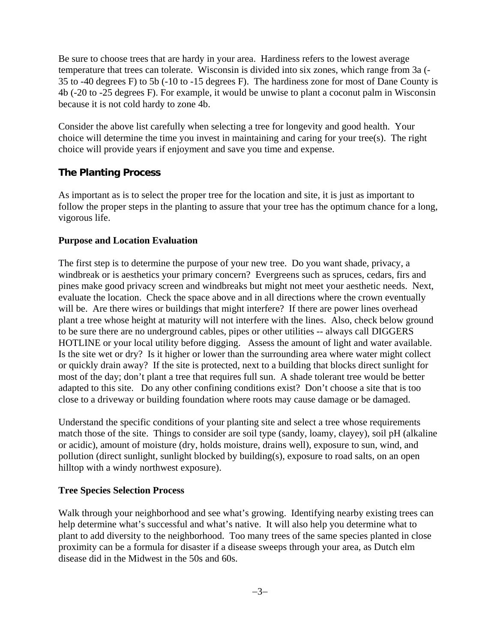Be sure to choose trees that are hardy in your area. Hardiness refers to the lowest average temperature that trees can tolerate. Wisconsin is divided into six zones, which range from 3a (- 35 to -40 degrees F) to 5b (-10 to -15 degrees F). The hardiness zone for most of Dane County is 4b (-20 to -25 degrees F). For example, it would be unwise to plant a coconut palm in Wisconsin because it is not cold hardy to zone 4b.

Consider the above list carefully when selecting a tree for longevity and good health. Your choice will determine the time you invest in maintaining and caring for your tree(s). The right choice will provide years if enjoyment and save you time and expense.

#### **The Planting Process**

As important as is to select the proper tree for the location and site, it is just as important to follow the proper steps in the planting to assure that your tree has the optimum chance for a long, vigorous life.

#### **Purpose and Location Evaluation**

The first step is to determine the purpose of your new tree. Do you want shade, privacy, a windbreak or is aesthetics your primary concern? Evergreens such as spruces, cedars, firs and pines make good privacy screen and windbreaks but might not meet your aesthetic needs. Next, evaluate the location. Check the space above and in all directions where the crown eventually will be. Are there wires or buildings that might interfere? If there are power lines overhead plant a tree whose height at maturity will not interfere with the lines. Also, check below ground to be sure there are no underground cables, pipes or other utilities -- always call DIGGERS HOTLINE or your local utility before digging. Assess the amount of light and water available. Is the site wet or dry? Is it higher or lower than the surrounding area where water might collect or quickly drain away? If the site is protected, next to a building that blocks direct sunlight for most of the day; don't plant a tree that requires full sun. A shade tolerant tree would be better adapted to this site. Do any other confining conditions exist? Don't choose a site that is too close to a driveway or building foundation where roots may cause damage or be damaged.

Understand the specific conditions of your planting site and select a tree whose requirements match those of the site. Things to consider are soil type (sandy, loamy, clayey), soil pH (alkaline or acidic), amount of moisture (dry, holds moisture, drains well), exposure to sun, wind, and pollution (direct sunlight, sunlight blocked by building(s), exposure to road salts, on an open hilltop with a windy northwest exposure).

#### **Tree Species Selection Process**

Walk through your neighborhood and see what's growing. Identifying nearby existing trees can help determine what's successful and what's native. It will also help you determine what to plant to add diversity to the neighborhood. Too many trees of the same species planted in close proximity can be a formula for disaster if a disease sweeps through your area, as Dutch elm disease did in the Midwest in the 50s and 60s.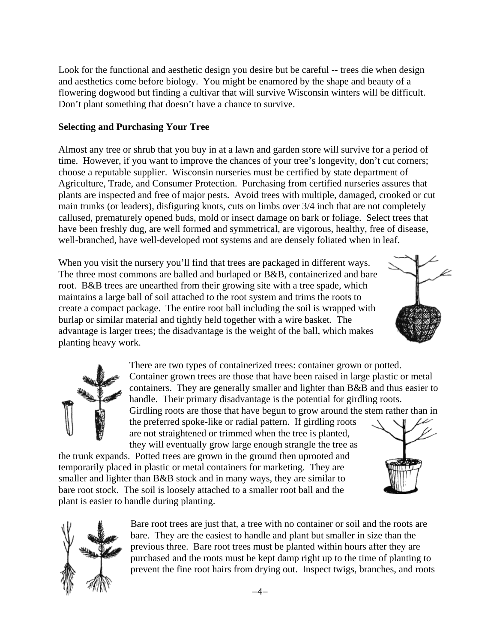Look for the functional and aesthetic design you desire but be careful -- trees die when design and aesthetics come before biology. You might be enamored by the shape and beauty of a flowering dogwood but finding a cultivar that will survive Wisconsin winters will be difficult. Don't plant something that doesn't have a chance to survive.

#### **Selecting and Purchasing Your Tree**

Almost any tree or shrub that you buy in at a lawn and garden store will survive for a period of time. However, if you want to improve the chances of your tree's longevity, don't cut corners; choose a reputable supplier. Wisconsin nurseries must be certified by state department of Agriculture, Trade, and Consumer Protection. Purchasing from certified nurseries assures that plants are inspected and free of major pests. Avoid trees with multiple, damaged, crooked or cut main trunks (or leaders), disfiguring knots, cuts on limbs over 3/4 inch that are not completely callused, prematurely opened buds, mold or insect damage on bark or foliage. Select trees that have been freshly dug, are well formed and symmetrical, are vigorous, healthy, free of disease, well-branched, have well-developed root systems and are densely foliated when in leaf.

When you visit the nursery you'll find that trees are packaged in different ways. The three most commons are balled and burlaped or B&B, containerized and bare root. B&B trees are unearthed from their growing site with a tree spade, which maintains a large ball of soil attached to the root system and trims the roots to create a compact package. The entire root ball including the soil is wrapped with burlap or similar material and tightly held together with a wire basket. The advantage is larger trees; the disadvantage is the weight of the ball, which makes planting heavy work.





There are two types of containerized trees: container grown or potted. Container grown trees are those that have been raised in large plastic or metal containers. They are generally smaller and lighter than B&B and thus easier to handle. Their primary disadvantage is the potential for girdling roots.

Girdling roots are those that have begun to grow around the stem rather than in the preferred spoke-like or radial pattern. If girdling roots are not straightened or trimmed when the tree is planted,

they will eventually grow large enough strangle the tree as the trunk expands. Potted trees are grown in the ground then uprooted and temporarily placed in plastic or metal containers for marketing. They are smaller and lighter than B&B stock and in many ways, they are similar to bare root stock. The soil is loosely attached to a smaller root ball and the plant is easier to handle during planting.





Bare root trees are just that, a tree with no container or soil and the roots are bare. They are the easiest to handle and plant but smaller in size than the previous three. Bare root trees must be planted within hours after they are purchased and the roots must be kept damp right up to the time of planting to prevent the fine root hairs from drying out. Inspect twigs, branches, and roots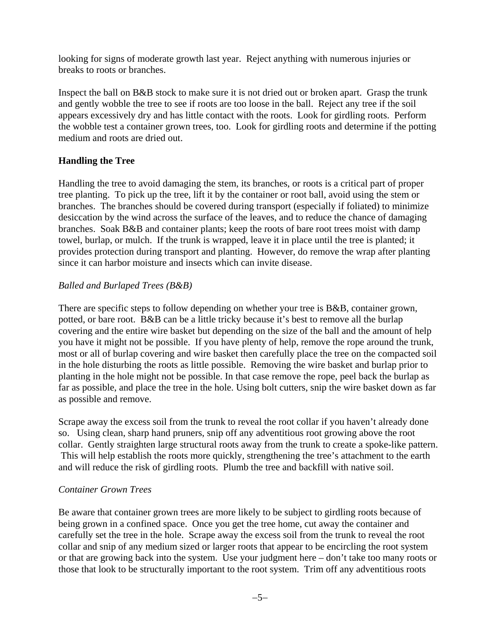looking for signs of moderate growth last year. Reject anything with numerous injuries or breaks to roots or branches.

Inspect the ball on B&B stock to make sure it is not dried out or broken apart. Grasp the trunk and gently wobble the tree to see if roots are too loose in the ball. Reject any tree if the soil appears excessively dry and has little contact with the roots. Look for girdling roots. Perform the wobble test a container grown trees, too. Look for girdling roots and determine if the potting medium and roots are dried out.

#### **Handling the Tree**

Handling the tree to avoid damaging the stem, its branches, or roots is a critical part of proper tree planting. To pick up the tree, lift it by the container or root ball, avoid using the stem or branches. The branches should be covered during transport (especially if foliated) to minimize desiccation by the wind across the surface of the leaves, and to reduce the chance of damaging branches. Soak B&B and container plants; keep the roots of bare root trees moist with damp towel, burlap, or mulch. If the trunk is wrapped, leave it in place until the tree is planted; it provides protection during transport and planting. However, do remove the wrap after planting since it can harbor moisture and insects which can invite disease.

#### *Balled and Burlaped Trees (B&B)*

There are specific steps to follow depending on whether your tree is B&B, container grown, potted, or bare root. B&B can be a little tricky because it's best to remove all the burlap covering and the entire wire basket but depending on the size of the ball and the amount of help you have it might not be possible. If you have plenty of help, remove the rope around the trunk, most or all of burlap covering and wire basket then carefully place the tree on the compacted soil in the hole disturbing the roots as little possible. Removing the wire basket and burlap prior to planting in the hole might not be possible. In that case remove the rope, peel back the burlap as far as possible, and place the tree in the hole. Using bolt cutters, snip the wire basket down as far as possible and remove.

Scrape away the excess soil from the trunk to reveal the root collar if you haven't already done so. Using clean, sharp hand pruners, snip off any adventitious root growing above the root collar. Gently straighten large structural roots away from the trunk to create a spoke-like pattern. This will help establish the roots more quickly, strengthening the tree's attachment to the earth and will reduce the risk of girdling roots. Plumb the tree and backfill with native soil.

#### *Container Grown Trees*

Be aware that container grown trees are more likely to be subject to girdling roots because of being grown in a confined space. Once you get the tree home, cut away the container and carefully set the tree in the hole. Scrape away the excess soil from the trunk to reveal the root collar and snip of any medium sized or larger roots that appear to be encircling the root system or that are growing back into the system. Use your judgment here – don't take too many roots or those that look to be structurally important to the root system. Trim off any adventitious roots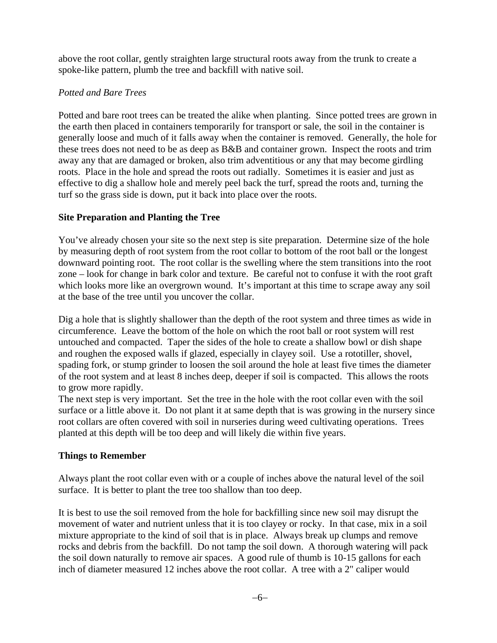above the root collar, gently straighten large structural roots away from the trunk to create a spoke-like pattern, plumb the tree and backfill with native soil.

### *Potted and Bare Trees*

Potted and bare root trees can be treated the alike when planting. Since potted trees are grown in the earth then placed in containers temporarily for transport or sale, the soil in the container is generally loose and much of it falls away when the container is removed. Generally, the hole for these trees does not need to be as deep as B&B and container grown. Inspect the roots and trim away any that are damaged or broken, also trim adventitious or any that may become girdling roots. Place in the hole and spread the roots out radially. Sometimes it is easier and just as effective to dig a shallow hole and merely peel back the turf, spread the roots and, turning the turf so the grass side is down, put it back into place over the roots.

### **Site Preparation and Planting the Tree**

You've already chosen your site so the next step is site preparation. Determine size of the hole by measuring depth of root system from the root collar to bottom of the root ball or the longest downward pointing root. The root collar is the swelling where the stem transitions into the root zone – look for change in bark color and texture. Be careful not to confuse it with the root graft which looks more like an overgrown wound. It's important at this time to scrape away any soil at the base of the tree until you uncover the collar.

Dig a hole that is slightly shallower than the depth of the root system and three times as wide in circumference. Leave the bottom of the hole on which the root ball or root system will rest untouched and compacted. Taper the sides of the hole to create a shallow bowl or dish shape and roughen the exposed walls if glazed, especially in clayey soil. Use a rototiller, shovel, spading fork, or stump grinder to loosen the soil around the hole at least five times the diameter of the root system and at least 8 inches deep, deeper if soil is compacted. This allows the roots to grow more rapidly.

The next step is very important. Set the tree in the hole with the root collar even with the soil surface or a little above it. Do not plant it at same depth that is was growing in the nursery since root collars are often covered with soil in nurseries during weed cultivating operations. Trees planted at this depth will be too deep and will likely die within five years.

## **Things to Remember**

Always plant the root collar even with or a couple of inches above the natural level of the soil surface. It is better to plant the tree too shallow than too deep.

It is best to use the soil removed from the hole for backfilling since new soil may disrupt the movement of water and nutrient unless that it is too clayey or rocky. In that case, mix in a soil mixture appropriate to the kind of soil that is in place. Always break up clumps and remove rocks and debris from the backfill. Do not tamp the soil down. A thorough watering will pack the soil down naturally to remove air spaces. A good rule of thumb is 10-15 gallons for each inch of diameter measured 12 inches above the root collar. A tree with a 2" caliper would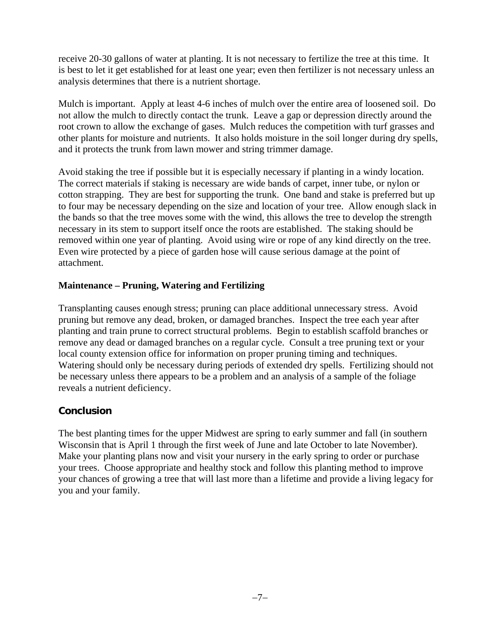receive 20-30 gallons of water at planting. It is not necessary to fertilize the tree at this time. It is best to let it get established for at least one year; even then fertilizer is not necessary unless an analysis determines that there is a nutrient shortage.

Mulch is important. Apply at least 4-6 inches of mulch over the entire area of loosened soil. Do not allow the mulch to directly contact the trunk. Leave a gap or depression directly around the root crown to allow the exchange of gases. Mulch reduces the competition with turf grasses and other plants for moisture and nutrients. It also holds moisture in the soil longer during dry spells, and it protects the trunk from lawn mower and string trimmer damage.

Avoid staking the tree if possible but it is especially necessary if planting in a windy location. The correct materials if staking is necessary are wide bands of carpet, inner tube, or nylon or cotton strapping. They are best for supporting the trunk. One band and stake is preferred but up to four may be necessary depending on the size and location of your tree. Allow enough slack in the bands so that the tree moves some with the wind, this allows the tree to develop the strength necessary in its stem to support itself once the roots are established. The staking should be removed within one year of planting. Avoid using wire or rope of any kind directly on the tree. Even wire protected by a piece of garden hose will cause serious damage at the point of attachment.

#### **Maintenance – Pruning, Watering and Fertilizing**

Transplanting causes enough stress; pruning can place additional unnecessary stress. Avoid pruning but remove any dead, broken, or damaged branches. Inspect the tree each year after planting and train prune to correct structural problems. Begin to establish scaffold branches or remove any dead or damaged branches on a regular cycle. Consult a tree pruning text or your local county extension office for information on proper pruning timing and techniques. Watering should only be necessary during periods of extended dry spells. Fertilizing should not be necessary unless there appears to be a problem and an analysis of a sample of the foliage reveals a nutrient deficiency.

### **Conclusion**

The best planting times for the upper Midwest are spring to early summer and fall (in southern Wisconsin that is April 1 through the first week of June and late October to late November). Make your planting plans now and visit your nursery in the early spring to order or purchase your trees. Choose appropriate and healthy stock and follow this planting method to improve your chances of growing a tree that will last more than a lifetime and provide a living legacy for you and your family.